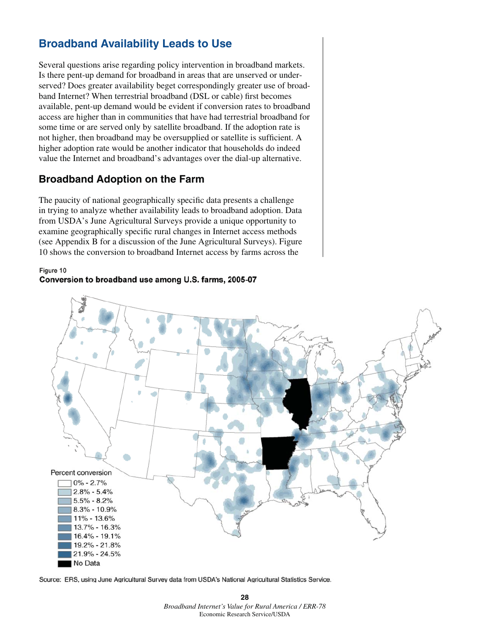## **Broadband Availability Leads to Use**

Several questions arise regarding policy intervention in broadband markets. Is there pent-up demand for broadband in areas that are unserved or underserved? Does greater availability beget correspondingly greater use of broadband Internet? When terrestrial broadband (DSL or cable) first becomes available, pent-up demand would be evident if conversion rates to broadband access are higher than in communities that have had terrestrial broadband for some time or are served only by satellite broadband. If the adoption rate is not higher, then broadband may be oversupplied or satellite is sufficient. A higher adoption rate would be another indicator that households do indeed value the Internet and broadband's advantages over the dial-up alternative.

## **Broadband Adoption on the Farm**

The paucity of national geographically specific data presents a challenge in trying to analyze whether availability leads to broadband adoption. Data from USDA's June Agricultural Surveys provide a unique opportunity to examine geographically specific rural changes in Internet access methods (see Appendix B for a discussion of the June Agricultural Surveys). Figure 10 shows the conversion to broadband Internet access by farms across the

## Figure 10 Conversion to broadband use among U.S. farms, 2005-07



Source: ERS, using June Agricultural Survey data from USDA's National Agricultural Statistics Service.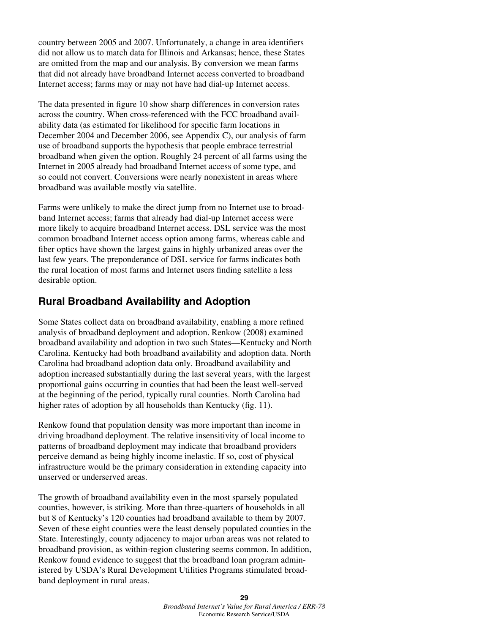country between 2005 and 2007. Unfortunately, a change in area identifiers did not allow us to match data for Illinois and Arkansas; hence, these States are omitted from the map and our analysis. By conversion we mean farms that did not already have broadband Internet access converted to broadband Internet access; farms may or may not have had dial-up Internet access.

The data presented in figure 10 show sharp differences in conversion rates across the country. When cross-referenced with the FCC broadband availability data (as estimated for likelihood for specific farm locations in December 2004 and December 2006, see Appendix C), our analysis of farm use of broadband supports the hypothesis that people embrace terrestrial broadband when given the option. Roughly 24 percent of all farms using the Internet in 2005 already had broadband Internet access of some type, and so could not convert. Conversions were nearly nonexistent in areas where broadband was available mostly via satellite.

Farms were unlikely to make the direct jump from no Internet use to broadband Internet access; farms that already had dial-up Internet access were more likely to acquire broadband Internet access. DSL service was the most common broadband Internet access option among farms, whereas cable and fiber optics have shown the largest gains in highly urbanized areas over the last few years. The preponderance of DSL service for farms indicates both the rural location of most farms and Internet users finding satellite a less desirable option.

## **Rural Broadband Availability and Adoption**

Some States collect data on broadband availability, enabling a more refined analysis of broadband deployment and adoption. Renkow (2008) examined broadband availability and adoption in two such States—Kentucky and North Carolina. Kentucky had both broadband availability and adoption data. North Carolina had broadband adoption data only. Broadband availability and adoption increased substantially during the last several years, with the largest proportional gains occurring in counties that had been the least well-served at the beginning of the period, typically rural counties. North Carolina had higher rates of adoption by all households than Kentucky (fig. 11).

Renkow found that population density was more important than income in driving broadband deployment. The relative insensitivity of local income to patterns of broadband deployment may indicate that broadband providers perceive demand as being highly income inelastic. If so, cost of physical infrastructure would be the primary consideration in extending capacity into unserved or underserved areas.

The growth of broadband availability even in the most sparsely populated counties, however, is striking. More than three-quarters of households in all but 8 of Kentucky's 120 counties had broadband available to them by 2007. Seven of these eight counties were the least densely populated counties in the State. Interestingly, county adjacency to major urban areas was not related to broadband provision, as within-region clustering seems common. In addition, Renkow found evidence to suggest that the broadband loan program administered by USDA's Rural Development Utilities Programs stimulated broadband deployment in rural areas.